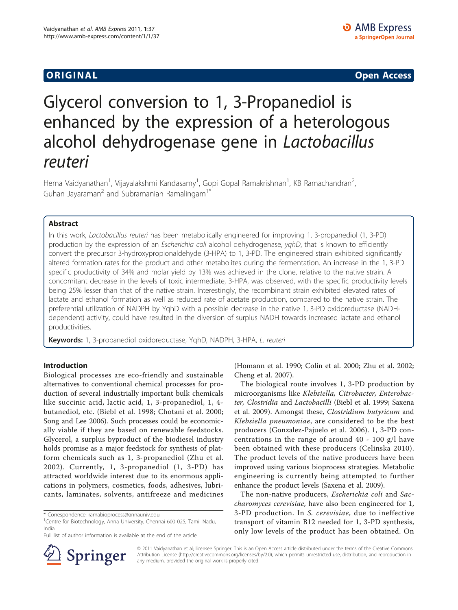**ORIGINAL CONSERVATION** CONSERVATION CONSERVATION CONSERVATION CONSERVATION CONSERVATION CONSERVATION CONSERVATION

# Glycerol conversion to 1, 3-Propanediol is enhanced by the expression of a heterologous alcohol dehydrogenase gene in Lactobacillus reuteri

Hema Vaidyanathan<sup>1</sup>, Vijayalakshmi Kandasamy<sup>1</sup>, Gopi Gopal Ramakrishnan<sup>1</sup>, KB Ramachandran<sup>2</sup> , Guhan Jayaraman<sup>2</sup> and Subramanian Ramalingam<sup>1\*</sup>

# Abstract

In this work, Lactobacillus reuteri has been metabolically engineered for improving 1, 3-propanediol (1, 3-PD) production by the expression of an Escherichia coli alcohol dehydrogenase, yqhD, that is known to efficiently convert the precursor 3-hydroxypropionaldehyde (3-HPA) to 1, 3-PD. The engineered strain exhibited significantly altered formation rates for the product and other metabolites during the fermentation. An increase in the 1, 3-PD specific productivity of 34% and molar yield by 13% was achieved in the clone, relative to the native strain. A concomitant decrease in the levels of toxic intermediate, 3-HPA, was observed, with the specific productivity levels being 25% lesser than that of the native strain. Interestingly, the recombinant strain exhibited elevated rates of lactate and ethanol formation as well as reduced rate of acetate production, compared to the native strain. The preferential utilization of NADPH by YqhD with a possible decrease in the native 1, 3-PD oxidoreductase (NADHdependent) activity, could have resulted in the diversion of surplus NADH towards increased lactate and ethanol productivities.

Keywords: 1, 3-propanediol oxidoreductase, YqhD, NADPH, 3-HPA, L. reuteri

#### Introduction

Biological processes are eco-friendly and sustainable alternatives to conventional chemical processes for production of several industrially important bulk chemicals like succinic acid, lactic acid, 1, 3-propanediol, 1, 4 butanediol, etc. ([Biebl et al. 1998; Chotani et al. 2000](#page-6-0); [Song and Lee 2006](#page-7-0)). Such processes could be economically viable if they are based on renewable feedstocks. Glycerol, a surplus byproduct of the biodiesel industry holds promise as a major feedstock for synthesis of platform chemicals such as 1, 3-propanediol ([Zhu et al.](#page-7-0) [2002](#page-7-0)). Currently, 1, 3-propanediol (1, 3-PD) has attracted worldwide interest due to its enormous applications in polymers, cosmetics, foods, adhesives, lubricants, laminates, solvents, antifreeze and medicines



The biological route involves 1, 3-PD production by microorganisms like Klebsiella, Citrobacter, Enterobacter, Clostridia and Lactobacilli ([Biebl et al. 1999;](#page-6-0) [Saxena](#page-7-0) [et al. 2009](#page-7-0)). Amongst these, Clostridium butyricum and Klebsiella pneumoniae, are considered to be the best producers ([Gonzalez-Pajuelo et al. 2006\)](#page-7-0). 1, 3-PD concentrations in the range of around 40 - 100 g/l have been obtained with these producers ([Celinska 2010\)](#page-6-0). The product levels of the native producers have been improved using various bioprocess strategies. Metabolic engineering is currently being attempted to further enhance the product levels [\(Saxena et al. 2009](#page-7-0)).

The non-native producers, Escherichia coli and Saccharomyces cerevisiae, have also been engineered for 1, 3-PD production. In S. cerevisiae, due to ineffective transport of vitamin B12 needed for 1, 3-PD synthesis, only low levels of the product has been obtained. On



© 2011 Vaidyanathan et al; licensee Springer. This is an Open Access article distributed under the terms of the Creative Commons Attribution License [\(http://creativecommons.org/licenses/by/2.0](http://creativecommons.org/licenses/by/2.0)), which permits unrestricted use, distribution, and reproduction in any medium, provided the original work is properly cited.

<sup>\*</sup> Correspondence: [ramabioprocess@annauniv.edu](mailto:ramabioprocess@annauniv.edu)

<sup>&</sup>lt;sup>1</sup>Centre for Biotechnology, Anna University, Chennai 600 025, Tamil Nadu, India

Full list of author information is available at the end of the article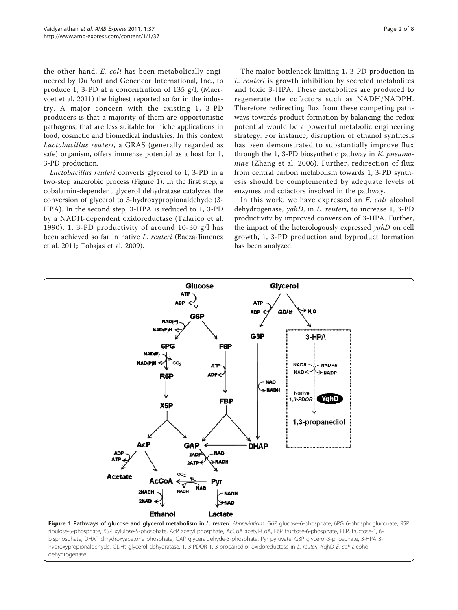the other hand, E. coli has been metabolically engineered by DuPont and Genencor International, Inc., to produce 1, 3-PD at a concentration of 135 g/l, ([Maer](#page-7-0)[voet et al. 2011](#page-7-0)) the highest reported so far in the industry. A major concern with the existing 1, 3-PD producers is that a majority of them are opportunistic pathogens, that are less suitable for niche applications in food, cosmetic and biomedical industries. In this context Lactobacillus reuteri, a GRAS (generally regarded as safe) organism, offers immense potential as a host for 1, 3-PD production.

Lactobacillus reuteri converts glycerol to 1, 3-PD in a two-step anaerobic process (Figure 1). In the first step, a cobalamin-dependent glycerol dehydratase catalyzes the conversion of glycerol to 3-hydroxypropionaldehyde (3- HPA). In the second step, 3-HPA is reduced to 1, 3-PD by a NADH-dependent oxidoreductase ([Talarico et al.](#page-7-0) [1990\)](#page-7-0). 1, 3-PD productivity of around 10-30 g/l has been achieved so far in native L. reuteri ([Baeza-Jimenez](#page-6-0) [et al. 2011](#page-6-0); [Tobajas et al. 2009](#page-7-0)).

The major bottleneck limiting 1, 3-PD production in L. reuteri is growth inhibition by secreted metabolites and toxic 3-HPA. These metabolites are produced to regenerate the cofactors such as NADH/NADPH. Therefore redirecting flux from these competing pathways towards product formation by balancing the redox potential would be a powerful metabolic engineering strategy. For instance, disruption of ethanol synthesis has been demonstrated to substantially improve flux through the 1, 3-PD biosynthetic pathway in  $K$ . pneumoniae ([Zhang et al. 2006\)](#page-7-0). Further, redirection of flux from central carbon metabolism towards 1, 3-PD synthesis should be complemented by adequate levels of enzymes and cofactors involved in the pathway.

In this work, we have expressed an E. coli alcohol dehydrogenase, yqhD, in L. reuteri, to increase 1, 3-PD productivity by improved conversion of 3-HPA. Further, the impact of the heterologously expressed yqhD on cell growth, 1, 3-PD production and byproduct formation has been analyzed.

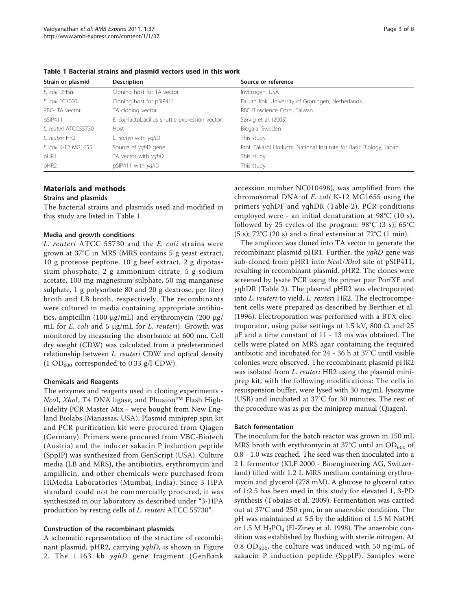| Strain or plasmid    | <b>Description</b>                              | Source or reference                                                  |  |
|----------------------|-------------------------------------------------|----------------------------------------------------------------------|--|
| E. coli DH5 $\alpha$ | Cloning host for TA vector                      | Invitrogen, USA                                                      |  |
| E. coli EC1000       | Cloning host for pSIP411                        | Dr Jan Kok, University of Groningen, Netherlands                     |  |
| RBC- TA vector       | TA cloning vector                               | RBC Bioscience Corp., Taiwan                                         |  |
| pSIP411              | E. coli-lactobacillus shuttle expression vector | Sørvig et al. (2005)                                                 |  |
| L. reuteri ATCC55730 | Host                                            | Biogaia, Sweden                                                      |  |
| L. reuteri HR2       | L. reuteri with yghD                            | This study                                                           |  |
| E. coli K-12 MG1655  | Source of yghD gene                             | Prof. Takashi Horiuchi, National Institute for Basic Biology, Japan. |  |
| pHR1                 | TA vector with yghD                             | This study                                                           |  |
| pHR2                 | pSIP411 with yghD                               | This study                                                           |  |

Table 1 Bacterial strains and plasmid vectors used in this work

# Materials and methods

# Strains and plasmids

The bacterial strains and plasmids used and modified in this study are listed in Table 1.

#### Media and growth conditions

L. reuteri ATCC 55730 and the E. coli strains were grown at 37°C in MRS (MRS contains 5 g yeast extract, 10 g proteose peptone, 10 g beef extract, 2 g dipotassium phosphate, 2 g ammonium citrate, 5 g sodium acetate, 100 mg magnesium sulphate, 50 mg manganese sulphate, 1 g polysorbate 80 and 20 g dextrose, per liter) broth and LB broth, respectively. The recombinants were cultured in media containing appropriate antibiotics, ampicillin (100 μg/mL) and erythromycin (200 μg/ mL for  $E$ . coli and  $5 \mu g/mL$  for  $L$ . reuteri). Growth was monitored by measuring the absorbance at 600 nm. Cell dry weight (CDW) was calculated from a predetermined relationship between L. reuteri CDW and optical density (1 OD<sub>600</sub> corresponded to 0.33 g/l CDW).

#### Chemicals and Reagents

The enzymes and reagents used in cloning experiments - NcoI, XhoI, T4 DNA ligase, and Phusion<sup>™</sup> Flash High-Fidelity PCR Master Mix - were bought from New England Biolabs (Manassas, USA). Plasmid miniprep spin kit and PCR purification kit were procured from Qiagen (Germany). Primers were procured from VBC-Biotech (Austria) and the inducer sakacin P induction peptide (SppIP) was synthesized from GenScript (USA). Culture media (LB and MRS), the antibiotics, erythromycin and ampillicin, and other chemicals were purchased from HiMedia Laboratories (Mumbai, India). Since 3-HPA standard could not be commercially procured, it was synthesized in our laboratory as described under "3-HPA production by resting cells of L. reuteri ATCC 55730".

#### Construction of the recombinant plasmids

A schematic representation of the structure of recombinant plasmid, pHR2, carrying *yqhD*, is shown in Figure [2](#page-3-0). The 1.163 kb yqhD gene fragment (GenBank accession number [NC010498\)](http://www.ncbi.nih.gov/entrez/query.fcgi?db=Nucleotide&cmd=search&term=NC010498), was amplified from the chromosomal DNA of E. coli K-12 MG1655 using the primers yqhDF and yqhDR (Table [2\)](#page-3-0). PCR conditions employed were - an initial denaturation at 98°C (10 s), followed by 25 cycles of the program:  $98^{\circ}C$  (3 s); 65 $^{\circ}C$ (5 s);  $72^{\circ}$ C (20 s) and a final extension at  $72^{\circ}$ C (1 min).

The amplicon was cloned into TA vector to generate the recombinant plasmid pHR1. Further, the  $\gamma q hD$  gene was sub-cloned from pHR1 into *NcoI/XhoI* site of pSIP411, resulting in recombinant plasmid, pHR2. The clones were screened by lysate PCR using the primer pair PorfXF and yqhDR (Table [2\)](#page-3-0). The plasmid pHR2 was electroporated into L. reuteri to yield, L. reuteri HR2. The electrocompetent cells were prepared as described by [Berthier et al.](#page-6-0) [\(1996\)](#page-6-0). Electroporation was performed with a BTX electroporator, using pulse settings of 1.5 kV, 800  $\Omega$  and 25 μF and a time constant of 11 - 13 ms was obtained. The cells were plated on MRS agar containing the required antibiotic and incubated for 24 - 36 h at 37°C until visible colonies were observed. The recombinant plasmid pHR2 was isolated from *L. reuteri* HR2 using the plasmid miniprep kit, with the following modifications: The cells in resuspension buffer, were lysed with 30 mg/mL lysozyme (USB) and incubated at 37°C for 30 minutes. The rest of the procedure was as per the miniprep manual (Qiagen).

#### Batch fermentation

The inoculum for the batch reactor was grown in 150 mL MRS broth with erythromycin at 37 $^{\circ}$ C until an OD<sub>600</sub> of 0.8 - 1.0 was reached. The seed was then inoculated into a 2 L fermentor (KLF 2000 - Bioengineering AG, Switzerland) filled with 1.2 L MRS medium containing erythromycin and glycerol (278 mM). A glucose to glycerol ratio of 1:2.5 has been used in this study for elevated 1, 3-PD synthesis ([Tobajas et al. 2009](#page-7-0)). Fermentation was carried out at 37°C and 250 rpm, in an anaerobic condition. The pH was maintained at 5.5 by the addition of 1.5 M NaOH or 1.5 M  $H_3PO_4$  ([El-Ziney et al. 1998\)](#page-6-0). The anaerobic condition was established by flushing with sterile nitrogen. At 0.8 OD<sub>600</sub>, the culture was induced with 50 ng/mL of sakacin P induction peptide (SppIP). Samples were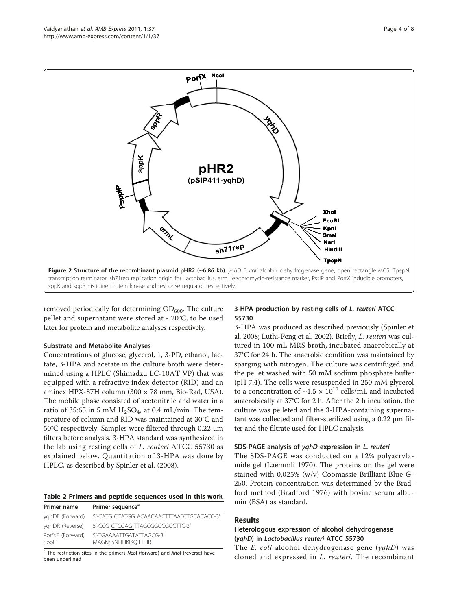<span id="page-3-0"></span>

removed periodically for determining  $OD_{600}$ . The culture pellet and supernatant were stored at - 20°C, to be used later for protein and metabolite analyses respectively.

# Substrate and Metabolite Analyses

Concentrations of glucose, glycerol, 1, 3-PD, ethanol, lactate, 3-HPA and acetate in the culture broth were determined using a HPLC (Shimadzu LC-10AT VP) that was equipped with a refractive index detector (RID) and an aminex HPX-87H column (300 × 78 mm, Bio-Rad, USA). The mobile phase consisted of acetonitrile and water in a ratio of 35:65 in 5 mM  $H_2SO_4$ , at 0.4 mL/min. The temperature of column and RID was maintained at 30°C and 50°C respectively. Samples were filtered through 0.22 μm filters before analysis. 3-HPA standard was synthesized in the lab using resting cells of L. reuteri ATCC 55730 as explained below. Quantitation of 3-HPA was done by HPLC, as described by [Spinler et al. \(2008\)](#page-7-0).

#### Table 2 Primers and peptide sequences used in this work  $P_{\text{rinnar}}$   $P_{\text{rinnar}}$  sequence<sup>a</sup>

| Primer name               | Primer sequence                                        |
|---------------------------|--------------------------------------------------------|
| yghDF (Forward)           | 5'-CATG CCATGG ACAACAACTTTAATCTGCACACC-3'              |
| yghDR (Reverse)           | 5'-CCG CTCGAG TTAGCGGGCGGCTTC-3'                       |
| PorfXF (Forward)<br>SppIP | 5'-TGAAAATTGATATTAGCG-3'<br><b>MAGNSSNFIHKIKOIFTHR</b> |

<sup>a</sup> The restriction sites in the primers Ncol (forward) and Xhol (reverse) have been underlined

# 3-HPA production by resting cells of L. reuteri ATCC 55730

3-HPA was produced as described previously ([Spinler et](#page-7-0) [al. 2008; Luthi-Peng et al. 2002](#page-7-0)). Briefly, L. reuteri was cultured in 100 mL MRS broth, incubated anaerobically at 37°C for 24 h. The anaerobic condition was maintained by sparging with nitrogen. The culture was centrifuged and the pellet washed with 50 mM sodium phosphate buffer (pH 7.4). The cells were resuspended in 250 mM glycerol to a concentration of  $\sim$ 1.5  $\times$  10<sup>10</sup> cells/mL and incubated anaerobically at 37°C for 2 h. After the 2 h incubation, the culture was pelleted and the 3-HPA-containing supernatant was collected and filter-sterilized using a 0.22 μm filter and the filtrate used for HPLC analysis.

# SDS-PAGE analysis of yqhD expression in L. reuteri

The SDS-PAGE was conducted on a 12% polyacrylamide gel [\(Laemmli 1970](#page-7-0)). The proteins on the gel were stained with 0.025% (w/v) Coomassie Brilliant Blue G-250. Protein concentration was determined by the Bradford method ([Bradford 1976](#page-6-0)) with bovine serum albumin (BSA) as standard.

# Results

# Heterologous expression of alcohol dehydrogenase (yqhD) in Lactobacillus reuteri ATCC 55730

The *E. coli* alcohol dehydrogenase gene  $(yqhD)$  was cloned and expressed in L. reuteri. The recombinant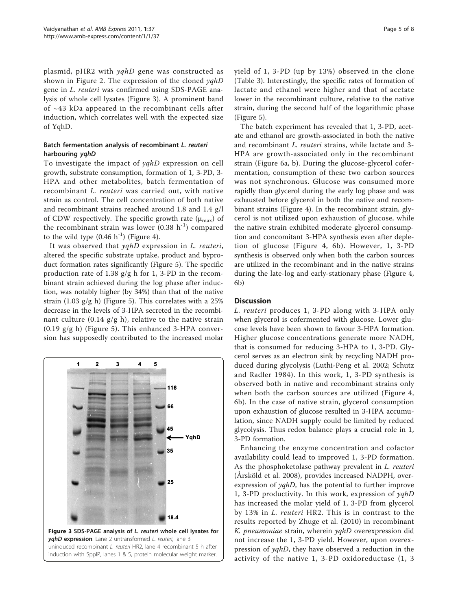plasmid, pHR2 with yqhD gene was constructed as shown in Figure [2](#page-3-0). The expression of the cloned yqhD gene in L. reuteri was confirmed using SDS-PAGE analysis of whole cell lysates (Figure 3). A prominent band of ~43 kDa appeared in the recombinant cells after induction, which correlates well with the expected size of YqhD.

# Batch fermentation analysis of recombinant L. reuteri harbouring yqhD

To investigate the impact of yqhD expression on cell growth, substrate consumption, formation of 1, 3-PD, 3- HPA and other metabolites, batch fermentation of recombinant L. reuteri was carried out, with native strain as control. The cell concentration of both native and recombinant strains reached around 1.8 and 1.4 g/l of CDW respectively. The specific growth rate  $(\mu_{\text{max}})$  of the recombinant strain was lower  $(0.38 h<sup>-1</sup>)$  compared to the wild type  $(0.46 \text{ h}^{-1})$  (Figure [4](#page-5-0)).

It was observed that yqhD expression in L. reuteri, altered the specific substrate uptake, product and byproduct formation rates significantly (Figure [5\)](#page-5-0). The specific production rate of 1.38  $g/g$  h for 1, 3-PD in the recombinant strain achieved during the log phase after induction, was notably higher (by 34%) than that of the native strain (1.03 g/g h) (Figure [5\)](#page-5-0). This correlates with a 25% decrease in the levels of 3-HPA secreted in the recombinant culture (0.14  $g/g$  h), relative to the native strain  $(0.19 \text{ g/g h})$  (Figure [5\)](#page-5-0). This enhanced 3-HPA conversion has supposedly contributed to the increased molar



yield of 1, 3-PD (up by 13%) observed in the clone (Table [3\)](#page-5-0). Interestingly, the specific rates of formation of lactate and ethanol were higher and that of acetate lower in the recombinant culture, relative to the native strain, during the second half of the logarithmic phase (Figure [5\)](#page-5-0).

The batch experiment has revealed that 1, 3-PD, acetate and ethanol are growth-associated in both the native and recombinant L. reuteri strains, while lactate and 3- HPA are growth-associated only in the recombinant strain (Figure [6a, b](#page-6-0)). During the glucose-glycerol cofermentation, consumption of these two carbon sources was not synchronous. Glucose was consumed more rapidly than glycerol during the early log phase and was exhausted before glycerol in both the native and recombinant strains (Figure [4\)](#page-5-0). In the recombinant strain, glycerol is not utilized upon exhaustion of glucose, while the native strain exhibited moderate glycerol consumption and concomitant 3-HPA synthesis even after depletion of glucose (Figure [4](#page-5-0), [6b](#page-6-0)). However, 1, 3-PD synthesis is observed only when both the carbon sources are utilized in the recombinant and in the native strains during the late-log and early-stationary phase (Figure [4](#page-5-0), [6b\)](#page-6-0)

# **Discussion**

L. reuteri produces 1, 3-PD along with 3-HPA only when glycerol is cofermented with glucose. Lower glucose levels have been shown to favour 3-HPA formation. Higher glucose concentrations generate more NADH, that is consumed for reducing 3-HPA to 1, 3-PD. Glycerol serves as an electron sink by recycling NADH produced during glycolysis [\(Luthi-Peng et al. 2002; Schutz](#page-7-0) [and Radler 1984](#page-7-0)). In this work, 1, 3-PD synthesis is observed both in native and recombinant strains only when both the carbon sources are utilized (Figure [4](#page-5-0), [6b](#page-6-0)). In the case of native strain, glycerol consumption upon exhaustion of glucose resulted in 3-HPA accumulation, since NADH supply could be limited by reduced glycolysis. Thus redox balance plays a crucial role in 1, 3-PD formation.

Enhancing the enzyme concentration and cofactor availability could lead to improved 1, 3-PD formation. As the phosphoketolase pathway prevalent in L. reuteri ([Årsköld et al. 2008](#page-6-0)), provides increased NADPH, overexpression of *yqhD*, has the potential to further improve 1, 3-PD productivity. In this work, expression of yqhD has increased the molar yield of 1, 3-PD from glycerol by 13% in L. reuteri HR2. This is in contrast to the results reported by [Zhuge et al. \(2010\)](#page-7-0) in recombinant K. pneumoniae strain, wherein yqhD overexpression did not increase the 1, 3-PD yield. However, upon overexpression of yqhD, they have observed a reduction in the activity of the native 1, 3-PD oxidoreductase (1, 3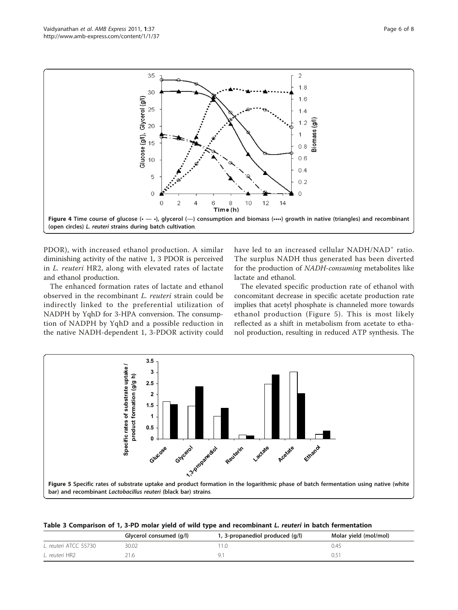<span id="page-5-0"></span>

PDOR), with increased ethanol production. A similar diminishing activity of the native 1, 3 PDOR is perceived in L. reuteri HR2, along with elevated rates of lactate and ethanol production.

The enhanced formation rates of lactate and ethanol observed in the recombinant L. reuteri strain could be indirectly linked to the preferential utilization of NADPH by YqhD for 3-HPA conversion. The consumption of NADPH by YqhD and a possible reduction in the native NADH-dependent 1, 3-PDOR activity could

have led to an increased cellular NADH/NAD<sup>+</sup> ratio. The surplus NADH thus generated has been diverted for the production of NADH-consuming metabolites like lactate and ethanol.

The elevated specific production rate of ethanol with concomitant decrease in specific acetate production rate implies that acetyl phosphate is channeled more towards ethanol production (Figure 5). This is most likely reflected as a shift in metabolism from acetate to ethanol production, resulting in reduced ATP synthesis. The



Table 3 Comparison of 1, 3-PD molar yield of wild type and recombinant L. reuteri in batch fermentation

|                       | Glycerol consumed (g/l) | 1, 3-propanediol produced (g/l) | Molar yield (mol/mol) |
|-----------------------|-------------------------|---------------------------------|-----------------------|
| L. reuteri ATCC 55730 | 30.02                   |                                 | 0.45                  |
| L. reuteri HR2        |                         |                                 |                       |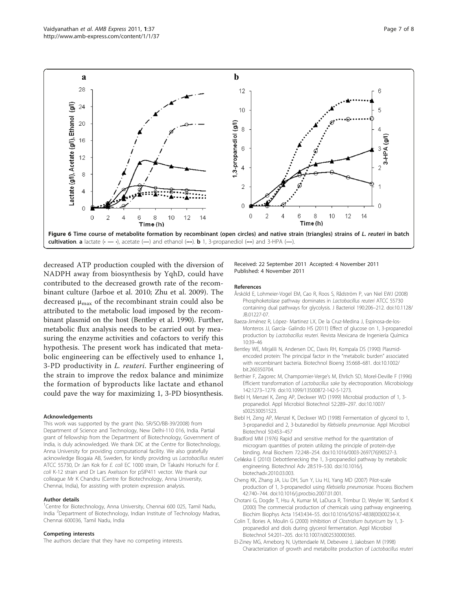<span id="page-6-0"></span>

decreased ATP production coupled with the diversion of NADPH away from biosynthesis by YqhD, could have contributed to the decreased growth rate of the recombinant culture ([Jarboe et al. 2010; Zhu et al. 2009](#page-7-0)). The decreased  $\mu_{\text{max}}$  of the recombinant strain could also be attributed to the metabolic load imposed by the recombinant plasmid on the host (Bentley et al. 1990). Further, metabolic flux analysis needs to be carried out by measuring the enzyme activities and cofactors to verify this hypothesis. The present work has indicated that metabolic engineering can be effectively used to enhance 1, 3-PD productivity in L. reuteri. Further engineering of the strain to improve the redox balance and minimize the formation of byproducts like lactate and ethanol could pave the way for maximizing 1, 3-PD biosynthesis.

#### Acknowledgements

This work was supported by the grant (No. SR/SO/BB-39/2008) from Department of Science and Technology, New Delhi-110 016, India. Partial grant of fellowship from the Department of Biotechnology, Government of India, is duly acknowledged. We thank DIC at the Centre for Biotechnology, Anna University for providing computational facility. We also gratefully acknowledge Biogaia AB, Sweden, for kindly providing us Lactobacillus reuteri ATCC 55730, Dr Jan Kok for E. coli EC 1000 strain, Dr Takashi Horiuchi for E. coli K-12 strain and Dr Lars Axelsson for pSIP411 vector. We thank our colleague Mr K Chandru (Centre for Biotechnology, Anna University, Chennai, India), for assisting with protein expression analysis.

#### Author details

<sup>1</sup>Centre for Biotechnology, Anna University, Chennai 600 025, Tamil Nadu, India <sup>2</sup>Department of Biotechnology, Indian Institute of Technology Madras, Chennai 600036, Tamil Nadu, India

#### Competing interests

The authors declare that they have no competing interests.

Received: 22 September 2011 Accepted: 4 November 2011 Published: 4 November 2011

#### References

- Årsköld E, Lohmeier-Vogel EM, Cao R, Roos S, Rådström P, van Niel EWJ (2008) [Phosphoketolase pathway dominates in](http://www.ncbi.nlm.nih.gov/pubmed/17965151?dopt=Abstract) Lactobacillus reuteri ATCC 55730 [containing dual pathways for glycolysis.](http://www.ncbi.nlm.nih.gov/pubmed/17965151?dopt=Abstract) J Bacteriol 190:206–212. doi:10.1128/ JB.01227-07.
- Baeza-Jiménez R, López- Martinez LX, De la Cruz-Medina J, Espinosa-de-los-Monteros JJ, García- Galindo HS (2011) Effect of glucose on 1, 3-propanediol production by Lactobacillus reuteri. Revista Mexicana de Ingenierίa Quίmica 10:39–46
- Bentley WE, Mirjalili N, Andersen DC, Davis RH, Kompala DS (1990[\) Plasmid](http://www.ncbi.nlm.nih.gov/pubmed/18592563?dopt=Abstract)[encoded protein: The principal factor in the](http://www.ncbi.nlm.nih.gov/pubmed/18592563?dopt=Abstract) "metabolic burden" associated [with recombinant bacteria.](http://www.ncbi.nlm.nih.gov/pubmed/18592563?dopt=Abstract) Biotechnol Bioeng 35:668–681. doi:10.1002/ bit.260350704.
- Berthier F, Zagorec M, Champomier-Verge's M, Ehrlich SD, Morel-Deville F (1996) Efficient transformation of Lactobacillus sake by electroporation. Microbiology 142:1273–1279. doi:10.1099/13500872-142-5-1273.
- Biebl H, Menzel K, Zeng AP, Deckwer WD (1999) [Microbial production of 1, 3](http://www.ncbi.nlm.nih.gov/pubmed/10531640?dopt=Abstract) [propanediol.](http://www.ncbi.nlm.nih.gov/pubmed/10531640?dopt=Abstract) Appl Microbiol Biotechnol 52:289–297. doi:10.1007/ s002530051523.
- Biebl H, Zeng AP, Menzel K, Deckwer WD (1998) Fermentation of glycerol to 1, 3-propanediol and 2, 3-butanediol by Klebsiella pneumoniae. Appl Microbiol Biotechnol 50:453–457
- Bradford MM (1976) [Rapid and sensitive method for the quantitation of](http://www.ncbi.nlm.nih.gov/pubmed/942051?dopt=Abstract) [microgram quantities of protein utilizing the principle of protein-dye](http://www.ncbi.nlm.nih.gov/pubmed/942051?dopt=Abstract) [binding.](http://www.ncbi.nlm.nih.gov/pubmed/942051?dopt=Abstract) Anal Biochem 72:248–254. doi:10.1016/0003-2697(76)90527-3.
- Celińska E (2010) [Debottlenecking the 1, 3-propanediol pathway by metabolic](http://www.ncbi.nlm.nih.gov/pubmed/20362657?dopt=Abstract) [engineering.](http://www.ncbi.nlm.nih.gov/pubmed/20362657?dopt=Abstract) Biotechnol Adv 28:519–530. doi:10.1016/j. biotechadv.2010.03.003.
- Cheng KK, Zhang JA, Liu DH, Sun Y, Liu HJ, Yang MD (2007) Pilot-scale production of 1, 3-propanediol using Klebsiella pneumoniae. Process Biochem 42:740–744. doi:10.1016/j.procbio.2007.01.001.
- Chotani G, Dogde T, Hsu A, Kumar M, LaDuca R, Trimbur D, Weyler W, Sanford K (2000[\) The commercial production of chemicals using pathway engineering.](http://www.ncbi.nlm.nih.gov/pubmed/11150618?dopt=Abstract) Biochim Biophys Acta 1543:434–55. doi:10.1016/S0167-4838(00)00234-X.
- Colin T, Bories A, Moulin G (2000) Inhibition of [Clostridium butyricum](http://www.ncbi.nlm.nih.gov/pubmed/10968633?dopt=Abstract) by 1, 3 [propanediol and diols during glycerol fermentation.](http://www.ncbi.nlm.nih.gov/pubmed/10968633?dopt=Abstract) Appl Microbiol Biotechnol 54:201–205. doi:10.1007/s002530000365.
- El-Ziney MG, Arneborg N, Uyttendaele M, Debevere J, Jakobsen M (1998) Characterization of growth and metabolite production of Lactobacillus reuteri